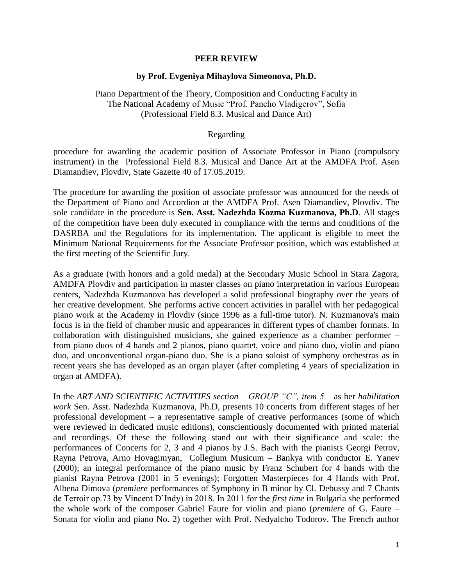## **PEER REVIEW**

## **by Prof. Evgeniya Mihaylova Simeonova, Ph.D.**

Piano Department of the Theory, Composition and Conducting Faculty in The National Academy of Music "Prof. Pancho Vladigerov", Sofia (Professional Field 8.3. Musical and Dance Art)

## Regarding

procedure for awarding the academic position of Associate Professor in Piano (compulsory instrument) in the Professional Field 8.3. Musical and Dance Art at the AMDFA Prof. Asen Diamandiev, Plovdiv, State Gazette 40 of 17.05.2019.

The procedure for awarding the position of associate professor was announced for the needs of the Department of Piano and Accordion at the AMDFA Prof. Asen Diamandiev, Plovdiv. The sole candidate in the procedure is **Sen. Asst. Nadezhda Kozma Kuzmanova, Ph.D**. All stages of the competition have been duly executed in compliance with the terms and conditions of the DASRBA and the Regulations for its implementation. The applicant is eligible to meet the Minimum National Requirements for the Associate Professor position, which was established at the first meeting of the Scientific Jury.

As a graduate (with honors and a gold medal) at the Secondary Music School in Stara Zagora, AMDFA Plovdiv and participation in master classes on piano interpretation in various European centers, Nadezhda Kuzmanova has developed a solid professional biography over the years of her creative development. She performs active concert activities in parallel with her pedagogical piano work at the Academy in Plovdiv (since 1996 as a full-time tutor). N. Kuzmanova's main focus is in the field of chamber music and appearances in different types of chamber formats. In collaboration with distinguished musicians, she gained experience as a chamber performer – from piano duos of 4 hands and 2 pianos, piano quartet, voice and piano duo, violin and piano duo, and unconventional organ-piano duo. She is a piano soloist of symphony orchestras as in recent years she has developed as an organ player (after completing 4 years of specialization in organ at AMDFA).

In the *ART AND SCIENTIFIC ACTIVITIES section – GROUP "C", item 5* – as her *habilitation work* Sen. Asst. Nadezhda Kuzmanova, Ph.D, presents 10 concerts from different stages of her professional development – a representative sample of creative performances (some of which were reviewed in dedicated music editions), conscientiously documented with printed material and recordings. Of these the following stand out with their significance and scale: the performances of Concerts for 2, 3 and 4 pianos by J.S. Bach with the pianists Georgi Petrov, Rayna Petrova, Arno Hovagimyan, Collegium Musicum – Bankya with conductor E. Yanev (2000); an integral performance of the piano music by Franz Schubert for 4 hands with the pianist Rayna Petrova (2001 in 5 evenings); Forgotten Masterpieces for 4 Hands with Prof. Albena Dimova (*premiere* performances of Symphony in B minor by Cl. Debussy and 7 Chants de Terroir op.73 by Vincent D'Indy) in 2018. In 2011 for the *first time* in Bulgaria she performed the whole work of the composer Gabriel Faure for violin and piano (*premiere* of G. Faure – Sonata for violin and piano No. 2) together with Prof. Nedyalcho Todorov. The French author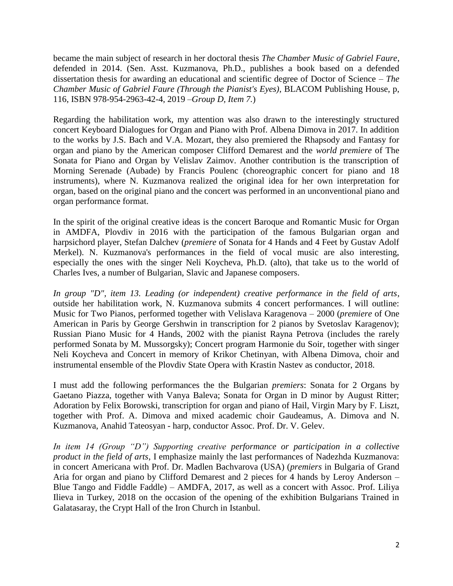became the main subject of research in her doctoral thesis *The Chamber Music of Gabriel Faure*, defended in 2014. (Sen. Asst. Kuzmanova, Ph.D., publishes a book based on a defended dissertation thesis for awarding an educational and scientific degree of Doctor of Science – *The Chamber Music of Gabriel Faure (Through the Pianist's Eyes)*, BLACOM Publishing House, p, 116, ISBN 978-954-2963-42-4, 2019 –*Group D, Item 7.*)

Regarding the habilitation work, my attention was also drawn to the interestingly structured concert Keyboard Dialogues for Organ and Piano with Prof. Albena Dimova in 2017. In addition to the works by J.S. Bach and V.A. Mozart, they also premiered the Rhapsody and Fantasy for organ and piano by the American composer Clifford Demarest and the *world premiere* of The Sonata for Piano and Organ by Velislav Zaimov. Another contribution is the transcription of Morning Serenade (Aubade) by Francis Poulenc (choreographic concert for piano and 18 instruments), where N. Kuzmanova realized the original idea for her own interpretation for organ, based on the original piano and the concert was performed in an unconventional piano and organ performance format.

In the spirit of the original creative ideas is the concert Baroque and Romantic Music for Organ in AMDFA, Plovdiv in 2016 with the participation of the famous Bulgarian organ and harpsichord player, Stefan Dalchev (*premiere* of Sonata for 4 Hands and 4 Feet by Gustav Adolf Merkel). N. Kuzmanova's performances in the field of vocal music are also interesting, especially the ones with the singer Neli Koycheva, Ph.D. (alto), that take us to the world of Charles Ives, a number of Bulgarian, Slavic and Japanese composers.

*In group "D", item 13. Leading (or independent) creative performance in the field of arts*, outside her habilitation work, N. Kuzmanova submits 4 concert performances. I will outline: Music for Two Pianos, performed together with Velislava Karagenova – 2000 (*premiere* of One American in Paris by George Gershwin in transcription for 2 pianos by Svetoslav Karagenov); Russian Piano Music for 4 Hands, 2002 with the pianist Rayna Petrova (includes the rarely performed Sonata by M. Mussorgsky); Concert program Harmonie du Soir, together with singer Neli Koycheva and Concert in memory of Krikor Chetinyan, with Albena Dimova, choir and instrumental ensemble of the Plovdiv State Opera with Krastin Nastev as conductor, 2018.

I must add the following performances the the Bulgarian *premiers*: Sonata for 2 Organs by Gaetano Piazza, together with Vanya Baleva; Sonata for Organ in D minor by August Ritter; Adoration by Felix Borowski, transcription for organ and piano of Hail, Virgin Mary by F. Liszt, together with Prof. A. Dimova and mixed academic choir Gaudeamus, A. Dimova and N. Kuzmanova, Anahid Tateosyan - harp, conductor Assoc. Prof. Dr. V. Gelev.

*In item 14 (Group "D") Supporting creative performance or participation in a collective product in the field of arts*, I emphasize mainly the last performances of Nadezhda Kuzmanova: in concert Americana with Prof. Dr. Madlen Bachvarova (USA) (*premiers* in Bulgaria of Grand Aria for organ and piano by Clifford Demarest and 2 pieces for 4 hands by Leroy Anderson – Blue Tango and Fiddle Faddle) – AMDFA, 2017, as well as a concert with Assoc. Prof. Liliya Ilieva in Turkey, 2018 on the occasion of the opening of the exhibition Bulgarians Trained in Galatasaray, the Crypt Hall of the Iron Church in Istanbul.